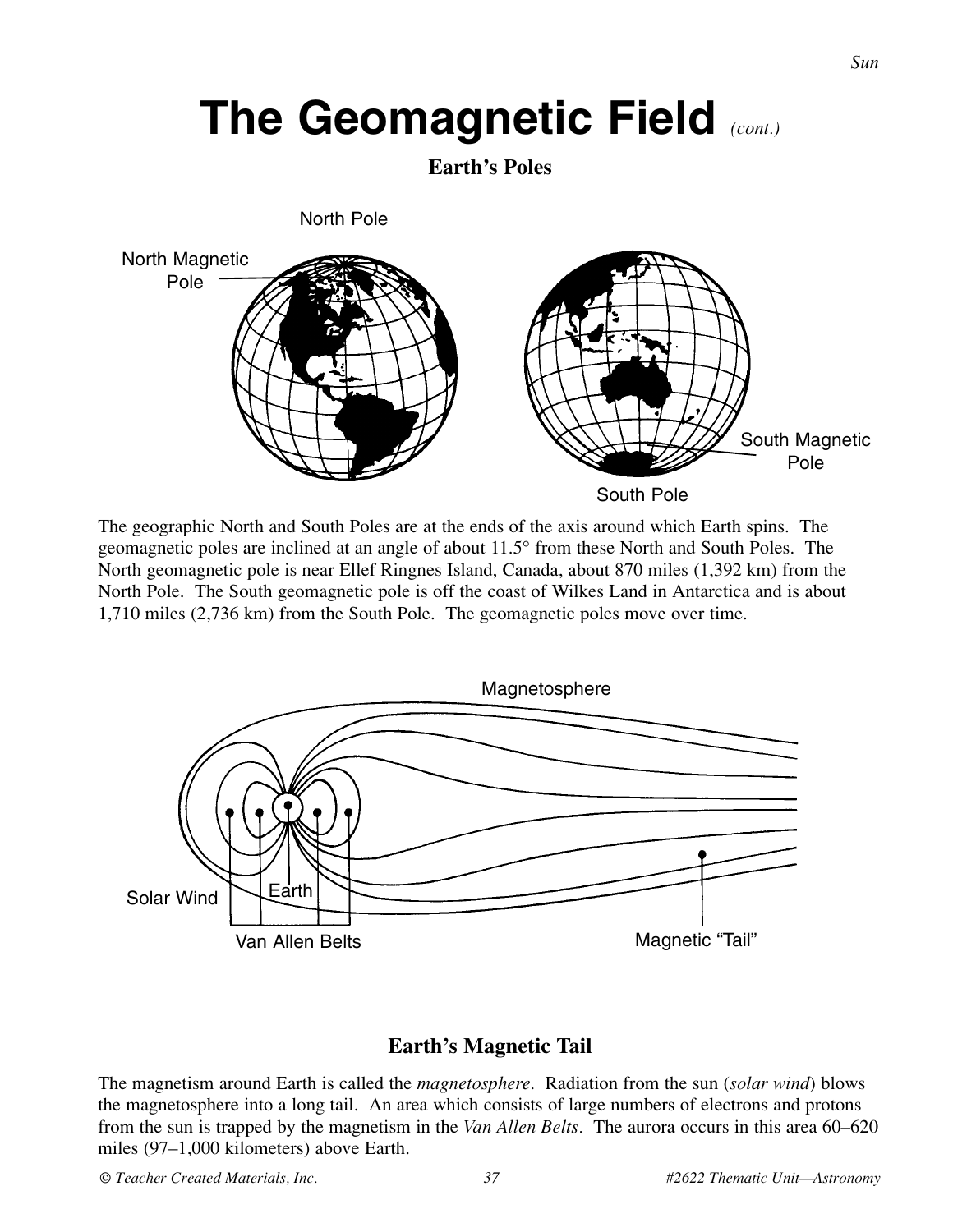# **The Geomagnetic Field** *(cont.)*

**Earth's Poles**



The geographic North and South Poles are at the ends of the axis around which Earth spins. The geomagnetic poles are inclined at an angle of about 11.5° from these North and South Poles. The North geomagnetic pole is near Ellef Ringnes Island, Canada, about 870 miles (1,392 km) from the North Pole. The South geomagnetic pole is off the coast of Wilkes Land in Antarctica and is about 1,710 miles (2,736 km) from the South Pole. The geomagnetic poles move over time.



### **Earth's Magnetic Tail**

The magnetism around Earth is called the *magnetosphere.* Radiation from the sun (*solar wind*) blows the magnetosphere into a long tail. An area which consists of large numbers of electrons and protons from the sun is trapped by the magnetism in the *Van Allen Belts.* The aurora occurs in this area 60–620 miles (97–1,000 kilometers) above Earth.

*© Teacher Created Materials, Inc. 37 #2622 Thematic Unit—Astronomy*

*Sun*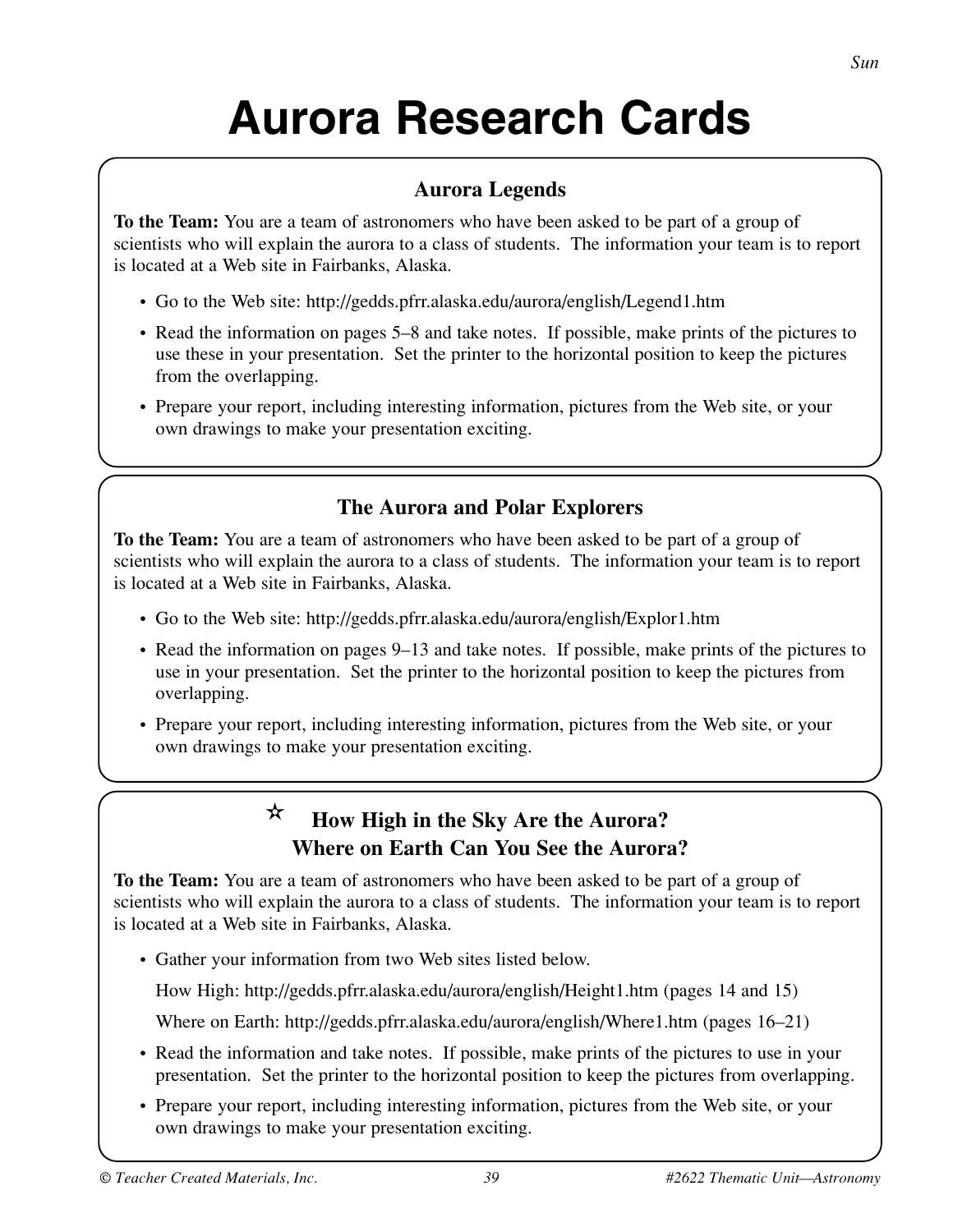# **Aurora Research Cards**

### **Aurora Legends**

**To the Team:** You are a team of astronomers who have been asked to be part of a group of scientists who will explain the aurora to a class of students. The information your team is to report is located at a Web site in Fairbanks, Alaska.

- Go to the Web site: http://gedds.pfrr.alaska.edu/aurora/english/Legend1.htm
- Read the information on pages 5–8 and take notes. If possible, make prints of the pictures to use these in your presentation. Set the printer to the horizontal position to keep the pictures from the overlapping.
- Prepare your report, including interesting information, pictures from the Web site, or your own drawings to make your presentation exciting.

## **The Aurora and Polar Explorers**

**To the Team:** You are a team of astronomers who have been asked to be part of a group of scientists who will explain the aurora to a class of students. The information your team is to report is located at a Web site in Fairbanks, Alaska.

- Go to the Web site: http://gedds.pfrr.alaska.edu/aurora/english/Explor1.htm
- Read the information on pages 9–13 and take notes. If possible, make prints of the pictures to use in your presentation. Set the printer to the horizontal position to keep the pictures from overlapping.
- Prepare your report, including interesting information, pictures from the Web site, or your own drawings to make your presentation exciting.

#### **How High in the Sky Are the Aurora? Where on Earth Can You See the Aurora?** ✫

**To the Team:** You are a team of astronomers who have been asked to be part of a group of scientists who will explain the aurora to a class of students. The information your team is to report is located at a Web site in Fairbanks, Alaska.

• Gather your information from two Web sites listed below.

How High: http://gedds.pfrr.alaska.edu/aurora/english/Height1.htm (pages 14 and 15)

Where on Earth: http://gedds.pfrr.alaska.edu/aurora/english/Where1.htm (pages 16–21)

- Read the information and take notes. If possible, make prints of the pictures to use in your presentation. Set the printer to the horizontal position to keep the pictures from overlapping.
- Prepare your report, including interesting information, pictures from the Web site, or your own drawings to make your presentation exciting.